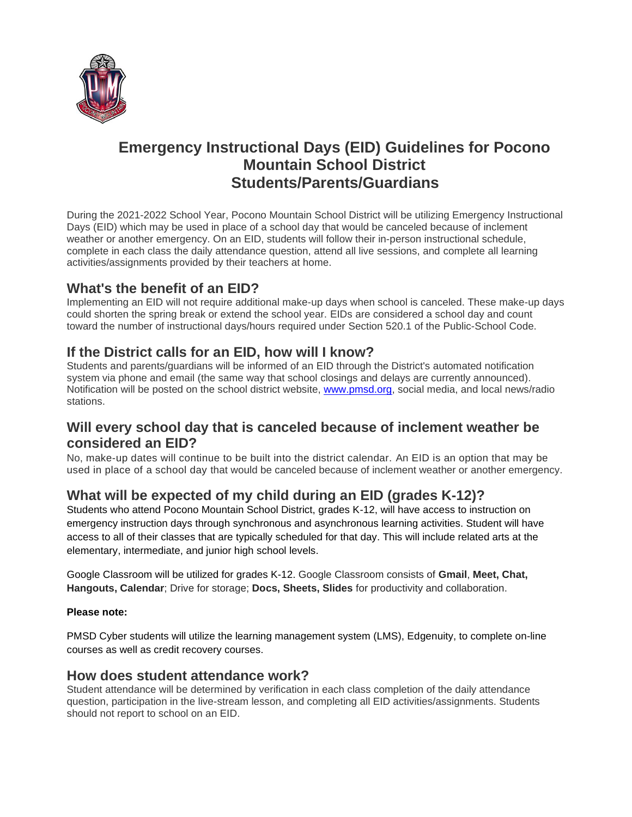

# **Emergency Instructional Days (EID) Guidelines for Pocono Mountain School District Students/Parents/Guardians**

During the 2021-2022 School Year, Pocono Mountain School District will be utilizing Emergency Instructional Days (EID) which may be used in place of a school day that would be canceled because of inclement weather or another emergency. On an EID, students will follow their in-person instructional schedule, complete in each class the daily attendance question, attend all live sessions, and complete all learning activities/assignments provided by their teachers at home.

### **What's the benefit of an EID?**

Implementing an EID will not require additional make-up days when school is canceled. These make-up days could shorten the spring break or extend the school year. EIDs are considered a school day and count toward the number of instructional days/hours required under Section 520.1 of the Public-School Code.

### **If the District calls for an EID, how will I know?**

Students and parents/guardians will be informed of an EID through the District's automated notification system via phone and email (the same way that school closings and delays are currently announced). Notification will be posted on the school district website, [www.pmsd.org,](http://www.pmsd.org/) social media, and local news/radio stations.

#### **Will every school day that is canceled because of inclement weather be considered an EID?**

No, make-up dates will continue to be built into the district calendar. An EID is an option that may be used in place of a school day that would be canceled because of inclement weather or another emergency.

## **What will be expected of my child during an EID (grades K-12)?**

Students who attend Pocono Mountain School District, grades K-12, will have access to instruction on emergency instruction days through synchronous and asynchronous learning activities. Student will have access to all of their classes that are typically scheduled for that day. This will include related arts at the elementary, intermediate, and junior high school levels.

Google Classroom will be utilized for grades K-12. Google Classroom consists of **Gmail**, **Meet, Chat, Hangouts, Calendar**; Drive for storage; **Docs, Sheets, Slides** for productivity and collaboration.

#### **Please note:**

PMSD Cyber students will utilize the learning management system (LMS), Edgenuity, to complete on-line courses as well as credit recovery courses.

#### **How does student attendance work?**

Student attendance will be determined by verification in each class completion of the daily attendance question, participation in the live-stream lesson, and completing all EID activities/assignments. Students should not report to school on an EID.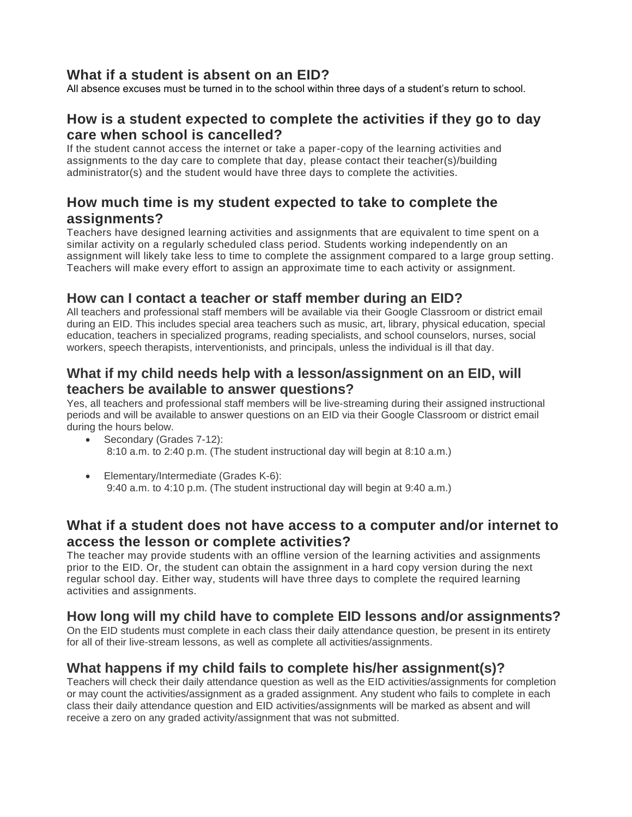### **What if a student is absent on an EID?**

All absence excuses must be turned in to the school within three days of a student's return to school.

#### **How is a student expected to complete the activities if they go to day care when school is cancelled?**

If the student cannot access the internet or take a paper-copy of the learning activities and assignments to the day care to complete that day, please contact their teacher(s)/building administrator(s) and the student would have three days to complete the activities.

#### **How much time is my student expected to take to complete the assignments?**

Teachers have designed learning activities and assignments that are equivalent to time spent on a similar activity on a regularly scheduled class period. Students working independently on an assignment will likely take less to time to complete the assignment compared to a large group setting. Teachers will make every effort to assign an approximate time to each activity or assignment.

#### **How can I contact a teacher or staff member during an EID?**

All teachers and professional staff members will be available via their Google Classroom or district email during an EID. This includes special area teachers such as music, art, library, physical education, special education, teachers in specialized programs, reading specialists, and school counselors, nurses, social workers, speech therapists, interventionists, and principals, unless the individual is ill that day.

#### **What if my child needs help with a lesson/assignment on an EID, will teachers be available to answer questions?**

Yes, all teachers and professional staff members will be live-streaming during their assigned instructional periods and will be available to answer questions on an EID via their Google Classroom or district email during the hours below.

- Secondary (Grades 7-12): 8:10 a.m. to 2:40 p.m. (The student instructional day will begin at 8:10 a.m.)
- Elementary/Intermediate (Grades K-6): 9:40 a.m. to 4:10 p.m. (The student instructional day will begin at 9:40 a.m.)

### **What if a student does not have access to a computer and/or internet to access the lesson or complete activities?**

The teacher may provide students with an offline version of the learning activities and assignments prior to the EID. Or, the student can obtain the assignment in a hard copy version during the next regular school day. Either way, students will have three days to complete the required learning activities and assignments.

### **How long will my child have to complete EID lessons and/or assignments?**

On the EID students must complete in each class their daily attendance question, be present in its entirety for all of their live-stream lessons, as well as complete all activities/assignments.

### **What happens if my child fails to complete his/her assignment(s)?**

Teachers will check their daily attendance question as well as the EID activities/assignments for completion or may count the activities/assignment as a graded assignment. Any student who fails to complete in each class their daily attendance question and EID activities/assignments will be marked as absent and will receive a zero on any graded activity/assignment that was not submitted.